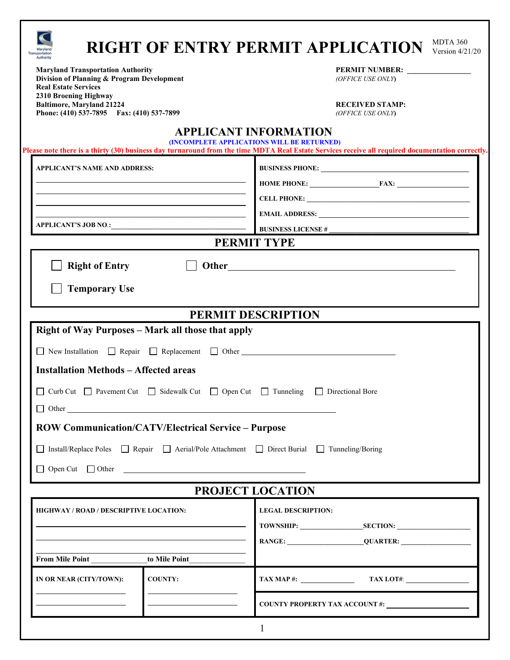| MDTA 360<br><b>RIGHT OF ENTRY PERMIT APPLICATION</b><br>Version $4/21/20$<br><b>Transportation</b>                    |                                                                                                                                                                                                                                                                                                                                                                                                                                                            |
|-----------------------------------------------------------------------------------------------------------------------|------------------------------------------------------------------------------------------------------------------------------------------------------------------------------------------------------------------------------------------------------------------------------------------------------------------------------------------------------------------------------------------------------------------------------------------------------------|
| <b>Maryland Transportation Authority</b><br>Division of Planning & Program Development<br><b>Real Estate Services</b> | PERMIT NUMBER:<br>(OFFICE USE ONLY)                                                                                                                                                                                                                                                                                                                                                                                                                        |
| 2310 Broening Highway<br><b>Baltimore, Maryland 21224</b><br>Phone: (410) 537-7895 Fax: (410) 537-7899                | <b>RECEIVED STAMP:</b><br>(OFFICE USE ONLY)                                                                                                                                                                                                                                                                                                                                                                                                                |
|                                                                                                                       | <b>APPLICANT INFORMATION</b><br>(INCOMPLETE APPLICATIONS WILL BE RETURNED)<br>Please note there is a thirty (30) business day turnaround from the time MDTA Real Estate Services receive all required documentation correctly.                                                                                                                                                                                                                             |
| <b>APPLICANT'S NAME AND ADDRESS:</b>                                                                                  | <b>BUSINESS PHONE:</b>                                                                                                                                                                                                                                                                                                                                                                                                                                     |
|                                                                                                                       | HOME PHONE: FAX:                                                                                                                                                                                                                                                                                                                                                                                                                                           |
| the control of the control of the control of the control of the control of the control of                             |                                                                                                                                                                                                                                                                                                                                                                                                                                                            |
| APPLICANT'S JOB NO.:                                                                                                  |                                                                                                                                                                                                                                                                                                                                                                                                                                                            |
|                                                                                                                       | PERMIT TYPE                                                                                                                                                                                                                                                                                                                                                                                                                                                |
| <b>Right of Entry</b>                                                                                                 |                                                                                                                                                                                                                                                                                                                                                                                                                                                            |
| <b>Temporary Use</b>                                                                                                  |                                                                                                                                                                                                                                                                                                                                                                                                                                                            |
| PERMIT DESCRIPTION                                                                                                    |                                                                                                                                                                                                                                                                                                                                                                                                                                                            |
| <b>Right of Way Purposes - Mark all those that apply</b>                                                              |                                                                                                                                                                                                                                                                                                                                                                                                                                                            |
| $\Box$ New Installation $\Box$ Repair $\Box$ Replacement $\Box$ Other                                                 |                                                                                                                                                                                                                                                                                                                                                                                                                                                            |
| <b>Installation Methods - Affected areas</b>                                                                          |                                                                                                                                                                                                                                                                                                                                                                                                                                                            |
| □ Curb Cut □ Pavement Cut □ Sidewalk Cut □ Open Cut □ Tunneling<br>$\Box$ Other                                       | Directional Bore                                                                                                                                                                                                                                                                                                                                                                                                                                           |
| <b>ROW Communication/CATV/Electrical Service - Purpose</b>                                                            |                                                                                                                                                                                                                                                                                                                                                                                                                                                            |
| □ Install/Replace Poles □ Repair □ Aerial/Pole Attachment □ Direct Burial □ Tunneling/Boring                          |                                                                                                                                                                                                                                                                                                                                                                                                                                                            |
|                                                                                                                       |                                                                                                                                                                                                                                                                                                                                                                                                                                                            |
| PROJECT LOCATION                                                                                                      |                                                                                                                                                                                                                                                                                                                                                                                                                                                            |
| HIGHWAY / ROAD / DESCRIPTIVE LOCATION:                                                                                | <b>LEGAL DESCRIPTION:</b>                                                                                                                                                                                                                                                                                                                                                                                                                                  |
|                                                                                                                       | TOWNSHIP: SECTION:                                                                                                                                                                                                                                                                                                                                                                                                                                         |
|                                                                                                                       |                                                                                                                                                                                                                                                                                                                                                                                                                                                            |
| From Mile Point to Mile Point                                                                                         |                                                                                                                                                                                                                                                                                                                                                                                                                                                            |
| IN OR NEAR (CITY/TOWN):<br><b>COUNTY:</b>                                                                             | $\textbf{TAX MAP} \text{ #:} \quad \textbf{TAX LOT#:} \quad \textbf{AA X LOT#:} \quad \textbf{AA X LOT#:} \quad \textbf{AA X LOT#:} \quad \textbf{AA X LOT#:} \quad \textbf{AA X LOT#:} \quad \textbf{AA X LOT#:} \quad \textbf{AA X LOT#:} \quad \textbf{AA X LOT#:} \quad \textbf{AA X LOT#:} \quad \textbf{AA X LOT#:} \quad \textbf{AA X LOT#:} \quad \textbf{AA X LOT#:} \quad \textbf{AA X LOT#:} \quad \textbf{AA X LOT#:} \quad \textbf{AA X LOT#$ |
|                                                                                                                       | COUNTY PROPERTY TAX ACCOUNT #:                                                                                                                                                                                                                                                                                                                                                                                                                             |
|                                                                                                                       | $\mathbf{1}$                                                                                                                                                                                                                                                                                                                                                                                                                                               |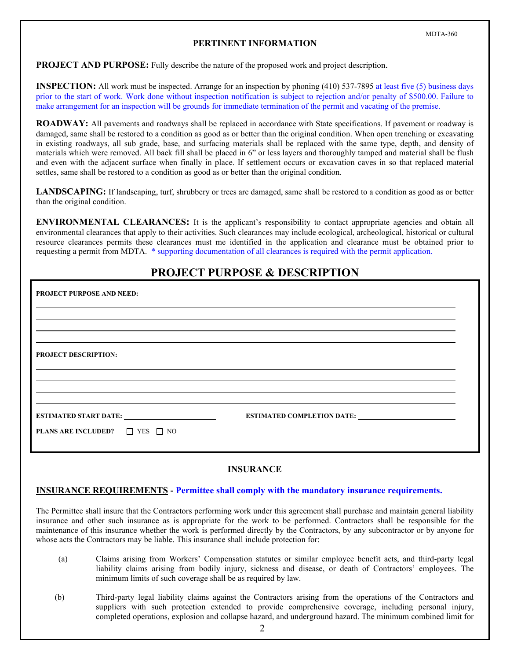### **PERTINENT INFORMATION**

**PROJECT AND PURPOSE:** Fully describe the nature of the proposed work and project description.

**INSPECTION:** All work must be inspected. Arrange for an inspection by phoning (410) 537-7895 at least five (5) business days prior to the start of work. Work done without inspection notification is subject to rejection and/or penalty of \$500.00. Failure to make arrangement for an inspection will be grounds for immediate termination of the permit and vacating of the premise.

**ROADWAY:** All pavements and roadways shall be replaced in accordance with State specifications. If pavement or roadway is damaged, same shall be restored to a condition as good as or better than the original condition. When open trenching or excavating in existing roadways, all sub grade, base, and surfacing materials shall be replaced with the same type, depth, and density of materials which were removed. All back fill shall be placed in 6" or less layers and thoroughly tamped and material shall be flush and even with the adjacent surface when finally in place. If settlement occurs or excavation caves in so that replaced material settles, same shall be restored to a condition as good as or better than the original condition.

**LANDSCAPING:** If landscaping, turf, shrubbery or trees are damaged, same shall be restored to a condition as good as or better than the original condition.

**ENVIRONMENTAL CLEARANCES:** It is the applicant's responsibility to contact appropriate agencies and obtain all environmental clearances that apply to their activities. Such clearances may include ecological, archeological, historical or cultural resource clearances permits these clearances must me identified in the application and clearance must be obtained prior to requesting a permit from MDTA. \* supporting documentation of all clearances is required with the permit application.

## **PROJECT PURPOSE & DESCRIPTION**

| <b>PROJECT PURPOSE AND NEED:</b>                |  |
|-------------------------------------------------|--|
|                                                 |  |
|                                                 |  |
| <b>PROJECT DESCRIPTION:</b>                     |  |
|                                                 |  |
|                                                 |  |
| <b>ESTIMATED START DATE:</b>                    |  |
| <b>PLANS ARE INCLUDED?</b> $\Box$ YES $\Box$ NO |  |

### **INSURANCE**

### **INSURANCE REQUIREMENTS - Permittee shall comply with the mandatory insurance requirements.**

The Permittee shall insure that the Contractors performing work under this agreement shall purchase and maintain general liability insurance and other such insurance as is appropriate for the work to be performed. Contractors shall be responsible for the maintenance of this insurance whether the work is performed directly by the Contractors, by any subcontractor or by anyone for whose acts the Contractors may be liable. This insurance shall include protection for:

- (a) Claims arising from Workers' Compensation statutes or similar employee benefit acts, and third-party legal liability claims arising from bodily injury, sickness and disease, or death of Contractors' employees. The minimum limits of such coverage shall be as required by law.
- (b) Third-party legal liability claims against the Contractors arising from the operations of the Contractors and suppliers with such protection extended to provide comprehensive coverage, including personal injury, completed operations, explosion and collapse hazard, and underground hazard. The minimum combined limit for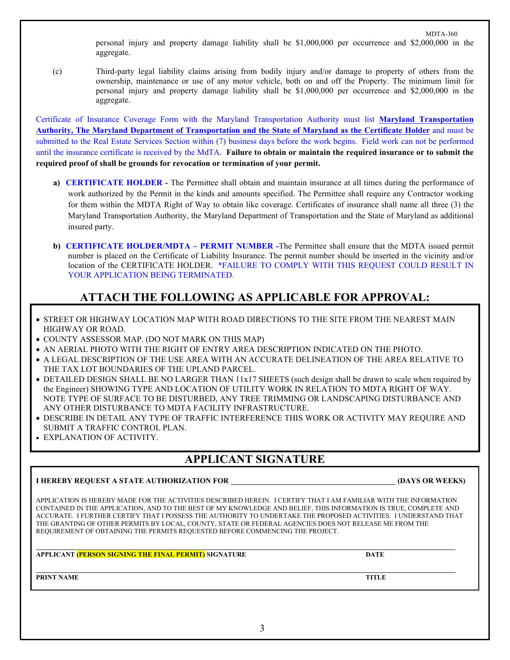3

personal injury and property damage liability shall be \$1,000,000 per occurrence and \$2,000,000 in the aggregate.

 (c) Third-party legal liability claims arising from bodily injury and/or damage to property of others from the ownership, maintenance or use of any motor vehicle, both on and off the Property. The minimum limit for personal injury and property damage liability shall be \$1,000,000 per occurrence and \$2,000,000 in the aggregate.

Certificate of Insurance Coverage Form with the Maryland Transportation Authority must list **Maryland Transportation Authority, The Maryland Department of Transportation and the State of Maryland as the Certificate Holder** and must be submitted to the Real Estate Services Section within (7) business days before the work begins. Field work can not be performed until the insurance certificate is received by the MdTA. **Failure to obtain or maintain the required insurance or to submit the required proof of shall be grounds for revocation or termination of your permit.** 

- **a) CERTIFICATE HOLDER -** The Permittee shall obtain and maintain insurance at all times during the performance of work authorized by the Permit in the kinds and amounts specified. The Permittee shall require any Contractor working for them within the MDTA Right of Way to obtain like coverage. Certificates of insurance shall name all three (3) the Maryland Transportation Authority, the Maryland Department of Transportation and the State of Maryland as additional insured party.
- **b) CERTIFICATE HOLDER/MDTA – PERMIT NUMBER -**The Permittee shall ensure that the MDTA issued permit number is placed on the Certificate of Liability Insurance. The permit number should be inserted in the vicinity and/or location of the CERTIFICATE HOLDER. \*FAILURE TO COMPLY WITH THIS REQUEST COULD RESULT IN YOUR APPLICATION BEING TERMINATED.

# **ATTACH THE FOLLOWING AS APPLICABLE FOR APPROVAL:**

- STREET OR HIGHWAY LOCATION MAP WITH ROAD DIRECTIONS TO THE SITE FROM THE NEAREST MAIN HIGHWAY OR ROAD.
- COUNTY ASSESSOR MAP. (DO NOT MARK ON THIS MAP)
- AN AERIAL PHOTO WITH THE RIGHT OF ENTRY AREA DESCRIPTION INDICATED ON THE PHOTO.
- A LEGAL DESCRIPTION OF THE USE AREA WITH AN ACCURATE DELINEATION OF THE AREA RELATIVE TO THE TAX LOT BOUNDARIES OF THE UPLAND PARCEL.
- DETAILED DESIGN SHALL BE NO LARGER THAN 11x17 SHEETS (such design shall be drawn to scale when required by the Engineer) SHOWING TYPE AND LOCATION OF UTILITY WORK IN RELATION TO MDTA RIGHT OF WAY. NOTE TYPE OF SURFACE TO BE DISTURBED, ANY TREE TRIMMING OR LANDSCAPING DISTURBANCE AND ANY OTHER DISTURBANCE TO MDTA FACILITY INFRASTRUCTURE.
- DESCRIBE IN DETAIL ANY TYPE OF TRAFFIC INTERFERENCE THIS WORK OR ACTIVITY MAY REQUIRE AND SUBMIT A TRAFFIC CONTROL PLAN.
- EXPLANATION OF ACTIVITY.

## **APPLICANT SIGNATURE**

### **I HEREBY REQUEST A STATE AUTHORIZATION FOR (DAYS OR WEEKS)**

APPLICATION IS HEREBY MADE FOR THE ACTIVITIES DESCRIBED HEREIN. I CERTIFY THAT I AM FAMILIAR WITH THE INFORMATION CONTAINED IN THE APPLICATION, AND TO THE BEST OF MY KNOWLEDGE AND BELIEF, THIS INFORMATION IS TRUE, COMPLETE AND ACCURATE. I FURTHER CERTIFY THAT I POSSESS THE AUTHORITY TO UNDERTAKE THE PROPOSED ACTIVITIES. I UNDERSTAND THAT THE GRANTING OF OTHER PERMITS BY LOCAL, COUNTY, STATE OR FEDERAL AGENCIES DOES NOT RELEASE ME FROM THE REQUIREMENT OF OBTAINING THE PERMITS REQUESTED BEFORE COMMENCING THE PROJECT.

**APPLICANT (PERSON SIGNING THE FINAL PERMIT) SIGNATURE DATE**

**PRINT NAME TITLE**

MDTA-360